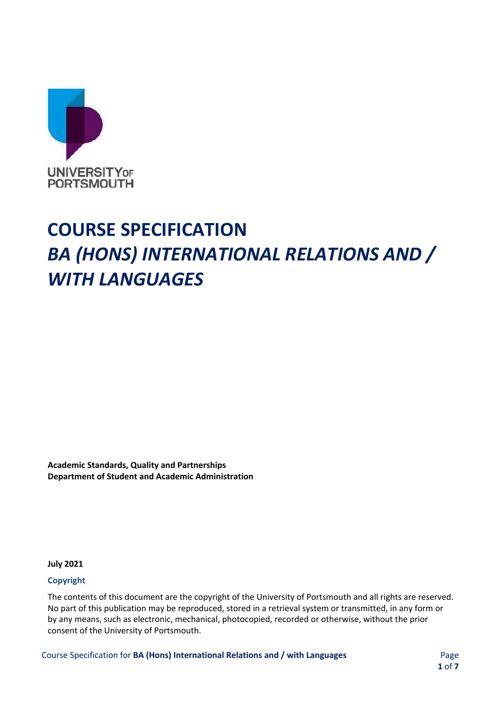

# **COURSE SPECIFICATION** *BA (HONS) INTERNATIONAL RELATIONS AND / WITH LANGUAGES*

**Academic Standards, Quality and Partnerships Department of Student and Academic Administration**

**July 2021** 

#### **Copyright**

The contents of this document are the copyright of the University of Portsmouth and all rights are reserved. No part of this publication may be reproduced, stored in a retrieval system or transmitted, in any form or by any means, such as electronic, mechanical, photocopied, recorded or otherwise, without the prior consent of the University of Portsmouth.

Course Specification for **BA (Hons) International Relations and / with Languages** Page

**1** of **7**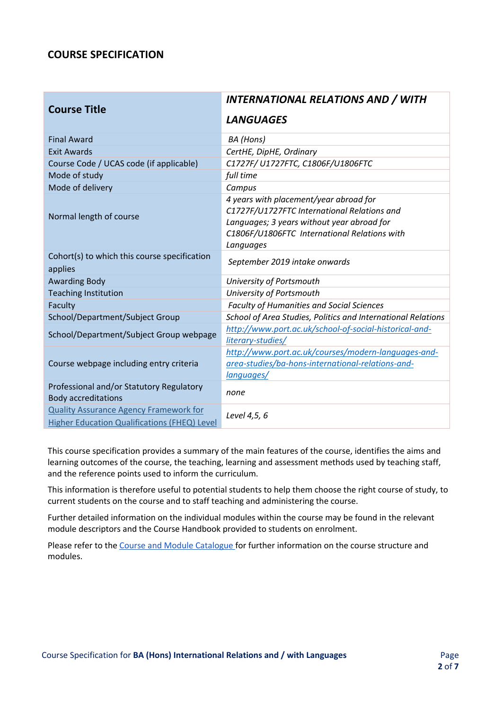## **COURSE SPECIFICATION**

| <b>Course Title</b>                                                    | <b>INTERNATIONAL RELATIONS AND / WITH</b>                    |
|------------------------------------------------------------------------|--------------------------------------------------------------|
|                                                                        | <b>LANGUAGES</b>                                             |
| <b>Final Award</b>                                                     | BA (Hons)                                                    |
| <b>Exit Awards</b>                                                     | CertHE, DipHE, Ordinary                                      |
| Course Code / UCAS code (if applicable)                                | C1727F/ U1727FTC, C1806F/U1806FTC                            |
| Mode of study                                                          | full time                                                    |
| Mode of delivery                                                       | Campus                                                       |
|                                                                        | 4 years with placement/year abroad for                       |
| Normal length of course                                                | C1727F/U1727FTC International Relations and                  |
|                                                                        | Languages; 3 years without year abroad for                   |
|                                                                        | C1806F/U1806FTC International Relations with                 |
|                                                                        | Languages                                                    |
| Cohort(s) to which this course specification                           | September 2019 intake onwards                                |
| applies                                                                |                                                              |
| <b>Awarding Body</b>                                                   | University of Portsmouth                                     |
| <b>Teaching Institution</b>                                            | University of Portsmouth                                     |
| Faculty                                                                | <b>Faculty of Humanities and Social Sciences</b>             |
| School/Department/Subject Group                                        | School of Area Studies, Politics and International Relations |
| School/Department/Subject Group webpage                                | http://www.port.ac.uk/school-of-social-historical-and-       |
|                                                                        | literary-studies/                                            |
|                                                                        | http://www.port.ac.uk/courses/modern-languages-and-          |
| Course webpage including entry criteria                                | area-studies/ba-hons-international-relations-and-            |
|                                                                        | languages/                                                   |
| Professional and/or Statutory Regulatory<br><b>Body accreditations</b> | none                                                         |
| <b>Quality Assurance Agency Framework for</b>                          | Level 4,5, 6                                                 |
| Higher Education Qualifications (FHEQ) Level                           |                                                              |

This course specification provides a summary of the main features of the course, identifies the aims and learning outcomes of the course, the teaching, learning and assessment methods used by teaching staff, and the reference points used to inform the curriculum.

This information is therefore useful to potential students to help them choose the right course of study, to current students on the course and to staff teaching and administering the course.

Further detailed information on the individual modules within the course may be found in the relevant module descriptors and the Course Handbook provided to students on enrolment.

Please refer to th[e Course and Module Catalogue f](https://course-module-catalog.port.ac.uk/#/welcome)or further information on the course structure and modules.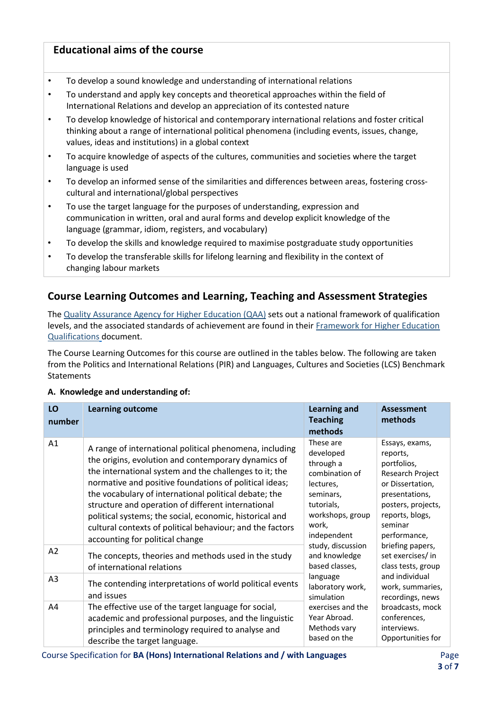## **Educational aims of the course**

- To develop a sound knowledge and understanding of international relations
- To understand and apply key concepts and theoretical approaches within the field of International Relations and develop an appreciation of its contested nature
- To develop knowledge of historical and contemporary international relations and foster critical thinking about a range of international political phenomena (including events, issues, change, values, ideas and institutions) in a global context
- To acquire knowledge of aspects of the cultures, communities and societies where the target language is used
- To develop an informed sense of the similarities and differences between areas, fostering crosscultural and international/global perspectives
- To use the target language for the purposes of understanding, expression and communication in written, oral and aural forms and develop explicit knowledge of the language (grammar, idiom, registers, and vocabulary)
- To develop the skills and knowledge required to maximise postgraduate study opportunities
- To develop the transferable skills for lifelong learning and flexibility in the context of changing labour markets

## **Course Learning Outcomes and Learning, Teaching and Assessment Strategies**

Th[e Quality Assurance Agency for Higher Education \(QAA\)](http://www.qaa.ac.uk/en) sets out a national framework of qualification levels, and the associated standards of achievement are found in their [Framework for Higher Education](https://www.qaa.ac.uk/en/quality-code/qualifications-and-credit-frameworks) [Qualifications](http://www.qaa.ac.uk/en/Publications/Documents/qualifications-frameworks.pdf) [d](http://www.qaa.ac.uk/en/Publications/Documents/qualifications-frameworks.pdf)ocument.

The Course Learning Outcomes for this course are outlined in the tables below. The following are taken from the Politics and International Relations (PIR) and Languages, Cultures and Societies (LCS) Benchmark **Statements** 

#### **A. Knowledge and understanding of:**

| LO<br>number | <b>Learning outcome</b>                                                                                                                                                                                                                                                                                                                                                                                                                                                                                      | <b>Learning and</b><br><b>Teaching</b><br>methods                                                                                                                                                                                                                                                                                                                                                                                                                                                                          | <b>Assessment</b><br>methods            |
|--------------|--------------------------------------------------------------------------------------------------------------------------------------------------------------------------------------------------------------------------------------------------------------------------------------------------------------------------------------------------------------------------------------------------------------------------------------------------------------------------------------------------------------|----------------------------------------------------------------------------------------------------------------------------------------------------------------------------------------------------------------------------------------------------------------------------------------------------------------------------------------------------------------------------------------------------------------------------------------------------------------------------------------------------------------------------|-----------------------------------------|
| Α1           | A range of international political phenomena, including<br>the origins, evolution and contemporary dynamics of<br>the international system and the challenges to it; the<br>normative and positive foundations of political ideas;<br>the vocabulary of international political debate; the<br>structure and operation of different international<br>political systems; the social, economic, historical and<br>cultural contexts of political behaviour; and the factors<br>accounting for political change | These are<br>Essays, exams,<br>developed<br>reports,<br>through a<br>portfolios,<br>combination of<br>lectures,<br>or Dissertation,<br>seminars,<br>presentations,<br>tutorials,<br>workshops, group<br>reports, blogs,<br>seminar<br>work,<br>independent<br>performance,<br>study, discussion<br>briefing papers,<br>and knowledge<br>based classes,<br>and individual<br>language<br>laboratory work,<br>simulation<br>exercises and the<br>Year Abroad.<br>conferences,<br>Methods vary<br>interviews.<br>based on the | Research Project<br>posters, projects,  |
| A2           | The concepts, theories and methods used in the study<br>of international relations                                                                                                                                                                                                                                                                                                                                                                                                                           |                                                                                                                                                                                                                                                                                                                                                                                                                                                                                                                            | set exercises/ in<br>class tests, group |
| A3           | The contending interpretations of world political events<br>and issues                                                                                                                                                                                                                                                                                                                                                                                                                                       |                                                                                                                                                                                                                                                                                                                                                                                                                                                                                                                            | work, summaries,<br>recordings, news    |
| A4           | The effective use of the target language for social,<br>academic and professional purposes, and the linguistic<br>principles and terminology required to analyse and<br>describe the target language.                                                                                                                                                                                                                                                                                                        |                                                                                                                                                                                                                                                                                                                                                                                                                                                                                                                            | broadcasts, mock<br>Opportunities for   |

Course Specification for **BA (Hons) International Relations and / with Languages** Page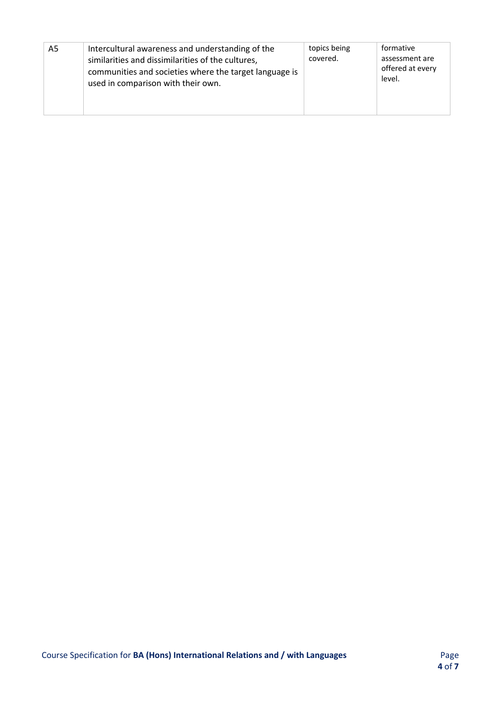| A5 | Intercultural awareness and understanding of the<br>similarities and dissimilarities of the cultures,<br>communities and societies where the target language is<br>used in comparison with their own. | topics being<br>covered. | formative<br>assessment are<br>offered at every<br>level. |
|----|-------------------------------------------------------------------------------------------------------------------------------------------------------------------------------------------------------|--------------------------|-----------------------------------------------------------|
|----|-------------------------------------------------------------------------------------------------------------------------------------------------------------------------------------------------------|--------------------------|-----------------------------------------------------------|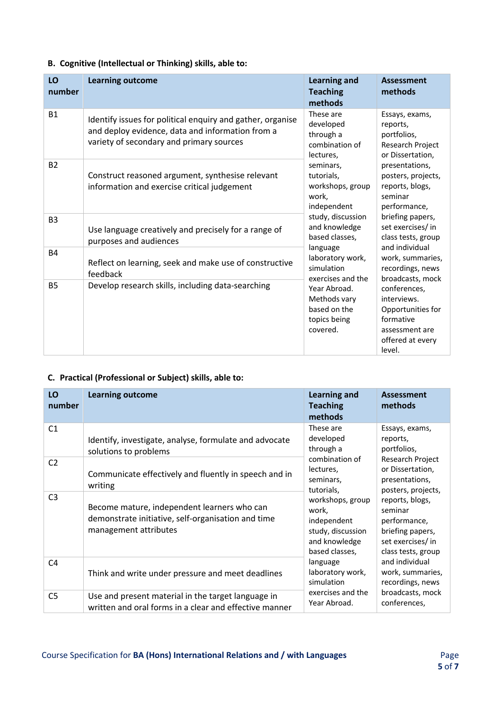## **B. Cognitive (Intellectual or Thinking) skills, able to:**

| LO<br>number   | <b>Learning outcome</b>                                                                                                                                    | <b>Learning and</b><br><b>Teaching</b><br>methods                                                                                                                                                                                                                                                                                                | <b>Assessment</b><br>methods                                                                                                                                                                                                                                                                                                                                                                                                          |
|----------------|------------------------------------------------------------------------------------------------------------------------------------------------------------|--------------------------------------------------------------------------------------------------------------------------------------------------------------------------------------------------------------------------------------------------------------------------------------------------------------------------------------------------|---------------------------------------------------------------------------------------------------------------------------------------------------------------------------------------------------------------------------------------------------------------------------------------------------------------------------------------------------------------------------------------------------------------------------------------|
| <b>B1</b>      | Identify issues for political enquiry and gather, organise<br>and deploy evidence, data and information from a<br>variety of secondary and primary sources | These are<br>developed<br>through a<br>combination of<br>lectures,<br>seminars,<br>tutorials,<br>workshops, group<br>work,<br>independent<br>study, discussion<br>and knowledge<br>based classes,<br>language<br>laboratory work,<br>simulation<br>exercises and the<br>Year Abroad.<br>Methods vary<br>based on the<br>topics being<br>covered. | Essays, exams,<br>reports,<br>portfolios,<br>Research Project<br>or Dissertation,<br>presentations,<br>posters, projects,<br>reports, blogs,<br>seminar<br>performance,<br>briefing papers,<br>set exercises/ in<br>class tests, group<br>and individual<br>work, summaries,<br>recordings, news<br>broadcasts, mock<br>conferences,<br>interviews.<br>Opportunities for<br>formative<br>assessment are<br>offered at every<br>level. |
| <b>B2</b>      | Construct reasoned argument, synthesise relevant<br>information and exercise critical judgement                                                            |                                                                                                                                                                                                                                                                                                                                                  |                                                                                                                                                                                                                                                                                                                                                                                                                                       |
| B <sub>3</sub> | Use language creatively and precisely for a range of<br>purposes and audiences                                                                             |                                                                                                                                                                                                                                                                                                                                                  |                                                                                                                                                                                                                                                                                                                                                                                                                                       |
| <b>B4</b>      | Reflect on learning, seek and make use of constructive<br>feedback                                                                                         |                                                                                                                                                                                                                                                                                                                                                  |                                                                                                                                                                                                                                                                                                                                                                                                                                       |
| <b>B5</b>      | Develop research skills, including data-searching                                                                                                          |                                                                                                                                                                                                                                                                                                                                                  |                                                                                                                                                                                                                                                                                                                                                                                                                                       |

## **C. Practical (Professional or Subject) skills, able to:**

| LO<br>number   | <b>Learning outcome</b>                                                                                                    | <b>Learning and</b><br><b>Teaching</b><br>methods                                                                                                                                   | <b>Assessment</b><br>methods                                                                              |
|----------------|----------------------------------------------------------------------------------------------------------------------------|-------------------------------------------------------------------------------------------------------------------------------------------------------------------------------------|-----------------------------------------------------------------------------------------------------------|
| C <sub>1</sub> | Identify, investigate, analyse, formulate and advocate<br>solutions to problems                                            | These are<br>developed<br>through a                                                                                                                                                 | Essays, exams,<br>reports,<br>portfolios,                                                                 |
| C <sub>2</sub> | Communicate effectively and fluently in speech and in<br>writing                                                           | combination of<br>lectures,<br>seminars,<br>tutorials,                                                                                                                              | Research Project<br>or Dissertation,<br>presentations,<br>posters, projects,                              |
| C <sub>3</sub> | Become mature, independent learners who can<br>demonstrate initiative, self-organisation and time<br>management attributes | workshops, group<br>work,<br>independent<br>study, discussion<br>and knowledge<br>based classes,<br>language<br>laboratory work,<br>simulation<br>exercises and the<br>Year Abroad. | reports, blogs,<br>seminar<br>performance,<br>briefing papers,<br>set exercises/ in<br>class tests, group |
| C <sub>4</sub> | Think and write under pressure and meet deadlines                                                                          |                                                                                                                                                                                     | and individual<br>work, summaries,<br>recordings, news                                                    |
| C <sub>5</sub> | Use and present material in the target language in<br>written and oral forms in a clear and effective manner               |                                                                                                                                                                                     | broadcasts, mock<br>conferences,                                                                          |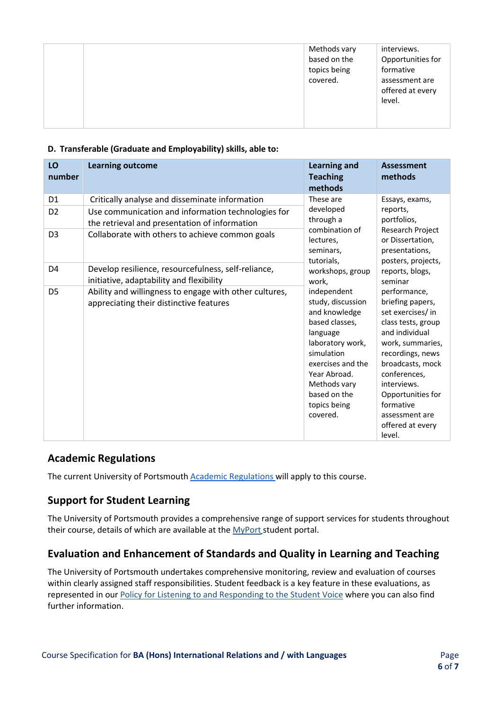|  | Methods vary<br>based on the<br>topics being<br>covered. | interviews.<br>Opportunities for<br>formative<br>assessment are<br>offered at every<br>level. |
|--|----------------------------------------------------------|-----------------------------------------------------------------------------------------------|
|--|----------------------------------------------------------|-----------------------------------------------------------------------------------------------|

### **D. Transferable (Graduate and Employability) skills, able to:**

| LO<br>number                     | <b>Learning outcome</b>                                                                              | <b>Learning and</b><br><b>Teaching</b><br>methods                                                                                                                                                                  | <b>Assessment</b><br>methods                                                                                                                                                                                                                                               |
|----------------------------------|------------------------------------------------------------------------------------------------------|--------------------------------------------------------------------------------------------------------------------------------------------------------------------------------------------------------------------|----------------------------------------------------------------------------------------------------------------------------------------------------------------------------------------------------------------------------------------------------------------------------|
| D <sub>1</sub><br>D <sub>2</sub> | Critically analyse and disseminate information<br>Use communication and information technologies for | These are<br>developed                                                                                                                                                                                             | Essays, exams,<br>reports,<br>portfolios,                                                                                                                                                                                                                                  |
| D <sub>3</sub>                   | the retrieval and presentation of information<br>Collaborate with others to achieve common goals     | through a<br>combination of<br>lectures,<br>seminars,                                                                                                                                                              | Research Project<br>or Dissertation,<br>presentations,<br>posters, projects,                                                                                                                                                                                               |
| D <sub>4</sub>                   | Develop resilience, resourcefulness, self-reliance,<br>initiative, adaptability and flexibility      | tutorials,<br>workshops, group<br>work,                                                                                                                                                                            | reports, blogs,<br>seminar                                                                                                                                                                                                                                                 |
| D <sub>5</sub>                   | Ability and willingness to engage with other cultures,<br>appreciating their distinctive features    | independent<br>study, discussion<br>and knowledge<br>based classes,<br>language<br>laboratory work,<br>simulation<br>exercises and the<br>Year Abroad.<br>Methods vary<br>based on the<br>topics being<br>covered. | performance,<br>briefing papers,<br>set exercises/ in<br>class tests, group<br>and individual<br>work, summaries,<br>recordings, news<br>broadcasts, mock<br>conferences,<br>interviews.<br>Opportunities for<br>formative<br>assessment are<br>offered at every<br>level. |

## **Academic Regulations**

The current University of Portsmouth [Academic Regulations w](https://staff.port.ac.uk/departments/services/academicregistry/qmd/assessmentandregulations/)ill apply to this course.

## **Support for Student Learning**

The University of Portsmouth provides a comprehensive range of support services for students throughout their course, details of which are available at the [MyPort](http://myport.ac.uk/) student portal.

## **Evaluation and Enhancement of Standards and Quality in Learning and Teaching**

The University of Portsmouth undertakes comprehensive monitoring, review and evaluation of courses within clearly assigned staff responsibilities. Student feedback is a key feature in these evaluations, as represented in ou[r Policy for Listening to and Responding to the Student Voice](http://policies.docstore.port.ac.uk/policy-069.pdf) [w](http://policies.docstore.port.ac.uk/policy-069.pdf)here you can also find further information.